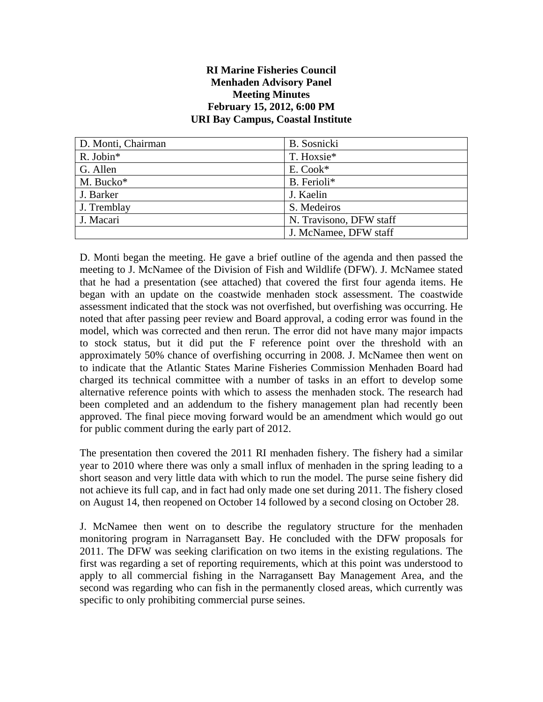#### **RI Marine Fisheries Council Menhaden Advisory Panel Meeting Minutes February 15, 2012, 6:00 PM URI Bay Campus, Coastal Institute**

| D. Monti, Chairman | B. Sosnicki             |
|--------------------|-------------------------|
| R. Jobin*          | T. Hoxsie*              |
| G. Allen           | E. Cook*                |
| M. Bucko*          | B. Ferioli*             |
| J. Barker          | J. Kaelin               |
| J. Tremblay        | S. Medeiros             |
| J. Macari          | N. Travisono, DFW staff |
|                    | J. McNamee, DFW staff   |

D. Monti began the meeting. He gave a brief outline of the agenda and then passed the meeting to J. McNamee of the Division of Fish and Wildlife (DFW). J. McNamee stated that he had a presentation (see attached) that covered the first four agenda items. He began with an update on the coastwide menhaden stock assessment. The coastwide assessment indicated that the stock was not overfished, but overfishing was occurring. He noted that after passing peer review and Board approval, a coding error was found in the model, which was corrected and then rerun. The error did not have many major impacts to stock status, but it did put the F reference point over the threshold with an approximately 50% chance of overfishing occurring in 2008. J. McNamee then went on to indicate that the Atlantic States Marine Fisheries Commission Menhaden Board had charged its technical committee with a number of tasks in an effort to develop some alternative reference points with which to assess the menhaden stock. The research had been completed and an addendum to the fishery management plan had recently been approved. The final piece moving forward would be an amendment which would go out for public comment during the early part of 2012.

The presentation then covered the 2011 RI menhaden fishery. The fishery had a similar year to 2010 where there was only a small influx of menhaden in the spring leading to a short season and very little data with which to run the model. The purse seine fishery did not achieve its full cap, and in fact had only made one set during 2011. The fishery closed on August 14, then reopened on October 14 followed by a second closing on October 28.

J. McNamee then went on to describe the regulatory structure for the menhaden monitoring program in Narragansett Bay. He concluded with the DFW proposals for 2011. The DFW was seeking clarification on two items in the existing regulations. The first was regarding a set of reporting requirements, which at this point was understood to apply to all commercial fishing in the Narragansett Bay Management Area, and the second was regarding who can fish in the permanently closed areas, which currently was specific to only prohibiting commercial purse seines.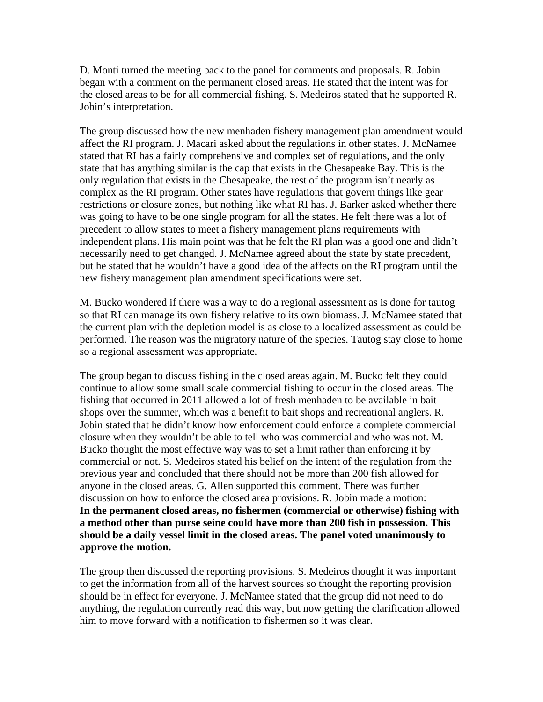D. Monti turned the meeting back to the panel for comments and proposals. R. Jobin began with a comment on the permanent closed areas. He stated that the intent was for the closed areas to be for all commercial fishing. S. Medeiros stated that he supported R. Jobin's interpretation.

The group discussed how the new menhaden fishery management plan amendment would affect the RI program. J. Macari asked about the regulations in other states. J. McNamee stated that RI has a fairly comprehensive and complex set of regulations, and the only state that has anything similar is the cap that exists in the Chesapeake Bay. This is the only regulation that exists in the Chesapeake, the rest of the program isn't nearly as complex as the RI program. Other states have regulations that govern things like gear restrictions or closure zones, but nothing like what RI has. J. Barker asked whether there was going to have to be one single program for all the states. He felt there was a lot of precedent to allow states to meet a fishery management plans requirements with independent plans. His main point was that he felt the RI plan was a good one and didn't necessarily need to get changed. J. McNamee agreed about the state by state precedent, but he stated that he wouldn't have a good idea of the affects on the RI program until the new fishery management plan amendment specifications were set.

M. Bucko wondered if there was a way to do a regional assessment as is done for tautog so that RI can manage its own fishery relative to its own biomass. J. McNamee stated that the current plan with the depletion model is as close to a localized assessment as could be performed. The reason was the migratory nature of the species. Tautog stay close to home so a regional assessment was appropriate.

The group began to discuss fishing in the closed areas again. M. Bucko felt they could continue to allow some small scale commercial fishing to occur in the closed areas. The fishing that occurred in 2011 allowed a lot of fresh menhaden to be available in bait shops over the summer, which was a benefit to bait shops and recreational anglers. R. Jobin stated that he didn't know how enforcement could enforce a complete commercial closure when they wouldn't be able to tell who was commercial and who was not. M. Bucko thought the most effective way was to set a limit rather than enforcing it by commercial or not. S. Medeiros stated his belief on the intent of the regulation from the previous year and concluded that there should not be more than 200 fish allowed for anyone in the closed areas. G. Allen supported this comment. There was further discussion on how to enforce the closed area provisions. R. Jobin made a motion: **In the permanent closed areas, no fishermen (commercial or otherwise) fishing with a method other than purse seine could have more than 200 fish in possession. This should be a daily vessel limit in the closed areas. The panel voted unanimously to approve the motion.** 

The group then discussed the reporting provisions. S. Medeiros thought it was important to get the information from all of the harvest sources so thought the reporting provision should be in effect for everyone. J. McNamee stated that the group did not need to do anything, the regulation currently read this way, but now getting the clarification allowed him to move forward with a notification to fishermen so it was clear.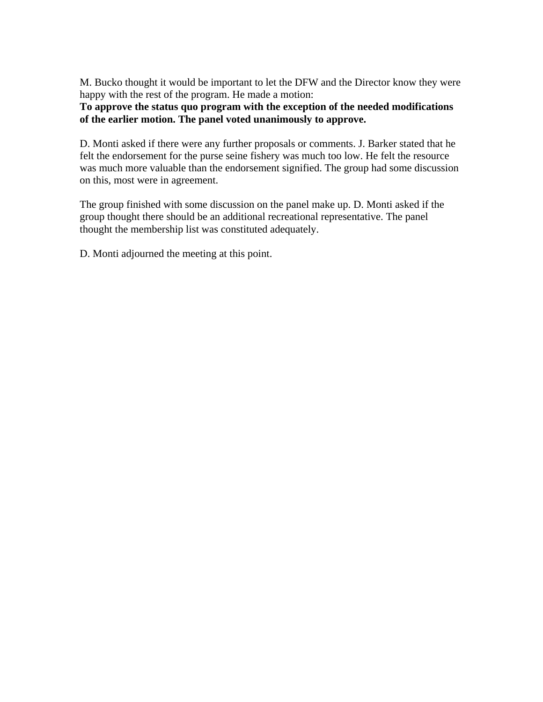M. Bucko thought it would be important to let the DFW and the Director know they were happy with the rest of the program. He made a motion:

**To approve the status quo program with the exception of the needed modifications of the earlier motion. The panel voted unanimously to approve.** 

D. Monti asked if there were any further proposals or comments. J. Barker stated that he felt the endorsement for the purse seine fishery was much too low. He felt the resource was much more valuable than the endorsement signified. The group had some discussion on this, most were in agreement.

The group finished with some discussion on the panel make up. D. Monti asked if the group thought there should be an additional recreational representative. The panel thought the membership list was constituted adequately.

D. Monti adjourned the meeting at this point.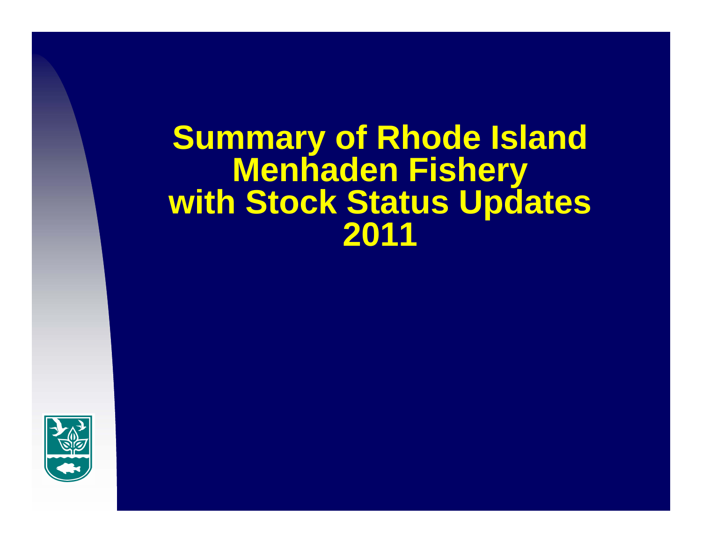# **Summary of Rhode Island Menhaden Fishery with Stock Status Updates 2011**

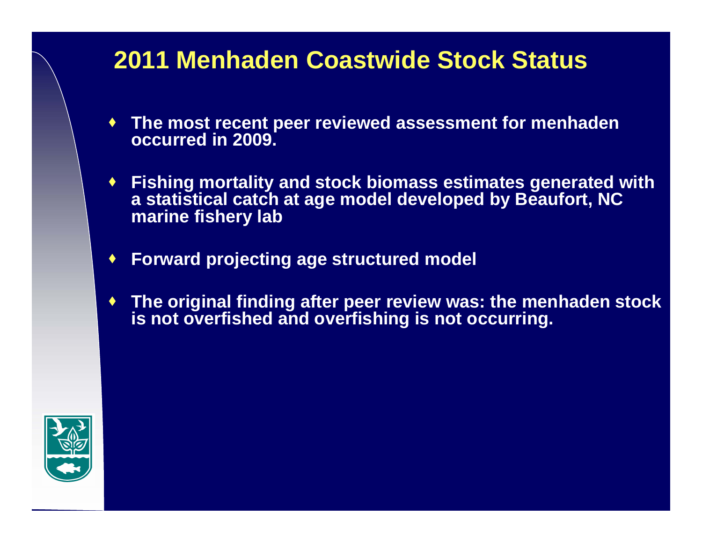### **2011 Menhaden Coastwide Stock Status**

- ♦ **The most recent peer reviewed assessment for menhaden occurred in 2009.**
- **Fishing mortality and stock biomass estimates generated with a statistical catch at age model developed by Beaufort, NC marine fishery lab**
- ♦ **Forward projecting age structured model**
- ♦ **The original finding after peer review was: the menhaden stock is not overfished and overfishing is not occurring.**

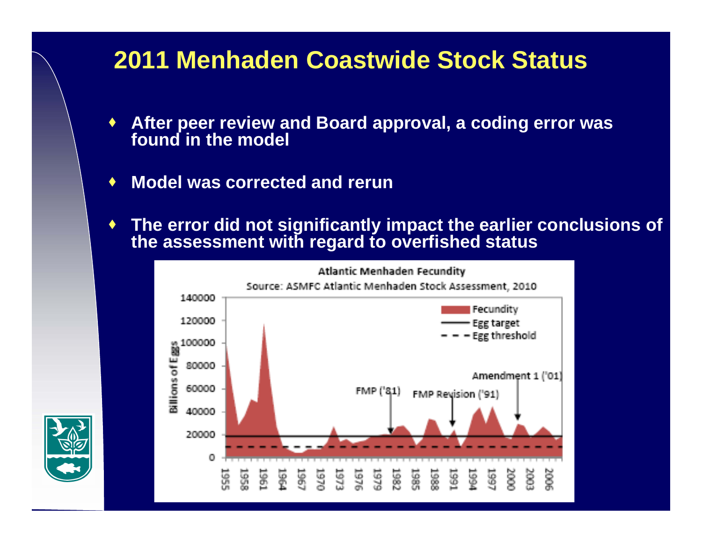### **2011 Menhaden Coastwide Stock Status**

- ♦ **After peer review and Board approval, a coding error was found in the model**
- $\blacklozenge$ **Model was corrected and rerun**
- ♦ **The error did not significantly impact the earlier conclusions of the assessment with regard to overfished status**



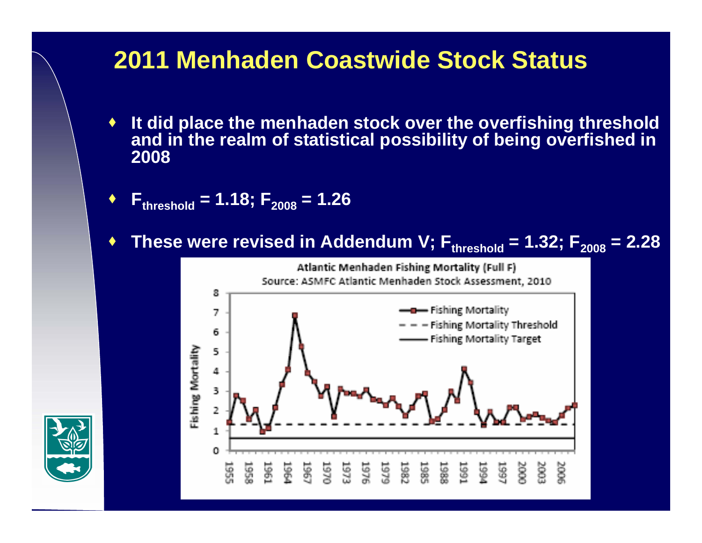### **2011 Menhaden Coastwide Stock Status**

- ♦ **It did place the menhaden stock over the overfishing threshold and in the realm of statistical possibility of being overfished in 2008**
- ♦ **Fthreshold = 1.18; F2008 = 1.26**
- ♦  $\bullet$  These were revised in Addendum V;  $F_{threshold}$  = 1.32;  $F_{2008}$  = 2.28



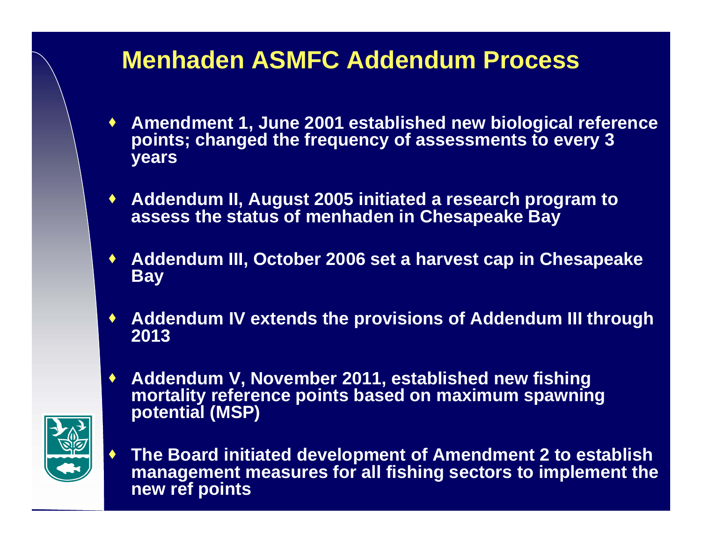### **Menhaden ASMFC Addendum Process**

- **Amendment 1, June 2001 established new biological reference points; changed the frequency of assessments to every 3 years**
- **Addendum II, August 2005 initiated a research program to assess the status of menhaden in Chesapeake Bay**
- ♦ **Addendum III, October 2006 set a harvest cap in Chesapeake Bay**
- **Addendum IV extends the provisions of Addendum III through 2013**
- **Addendum V, November 2011, established new fishing mortality reference points based on maximum spawning potential (MSP)**



 $\blacklozenge$  **The Board initiated development of Amendment 2 to establish management measures for all fishing sectors to implement the new ref points**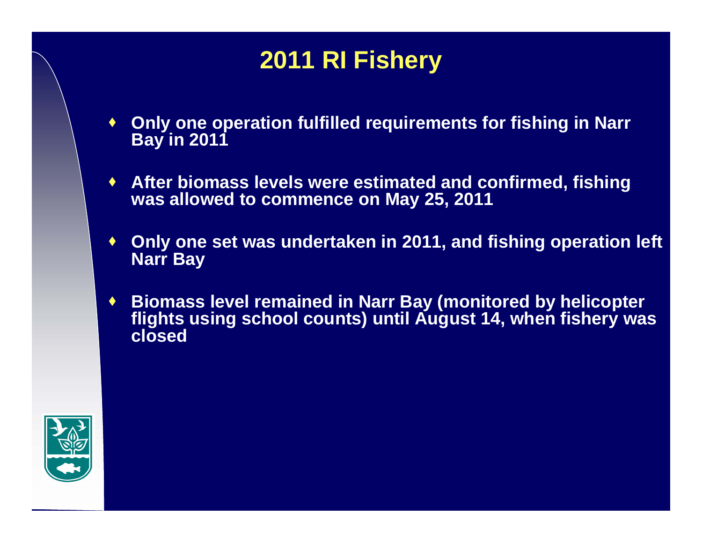## **2011 RI Fishery**

- ♦ **Only one operation fulfilled requirements for fishing in Narr Bay in 2011**
- **After biomass levels were estimated and confirmed, fishing was allowed to commence on May 25, 2011**
- ♦ **Only one set was undertaken in 2011, and fishing operation left Narr Bay**
- ♦ **Biomass level remained in Narr Bay (monitored by helicopter flights using school counts) until August 14, when fishery was closed**

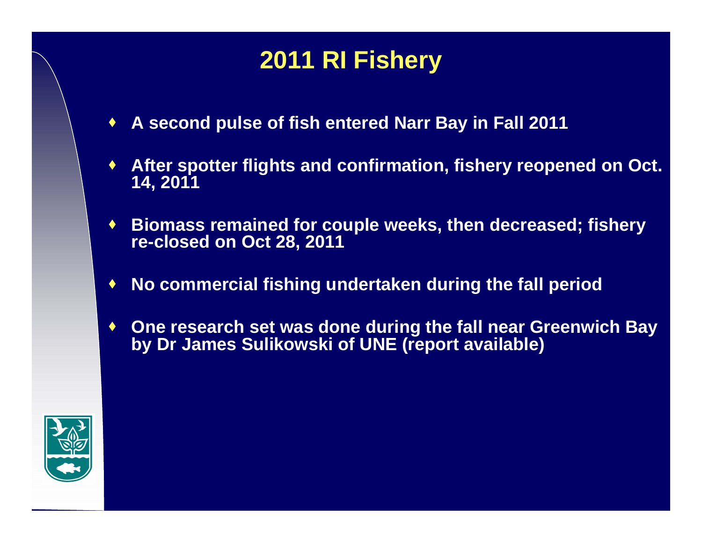### **2011 RI Fishery**

- ♦ **A second pulse of fish entered Narr Bay in Fall 2011**
- ♦ **After spotter flights and confirmation, fishery reopened on Oct. 14, 2011**
- ♦ **Biomass remained for couple weeks, then decreased; fishery re-closed on Oct 28, 2011**
- ♦ **No commercial fishing undertaken during the fall period**
- ♦ **One research set was done during the fall near Greenwich Bay by Dr James Sulikowski of UNE (report available)**

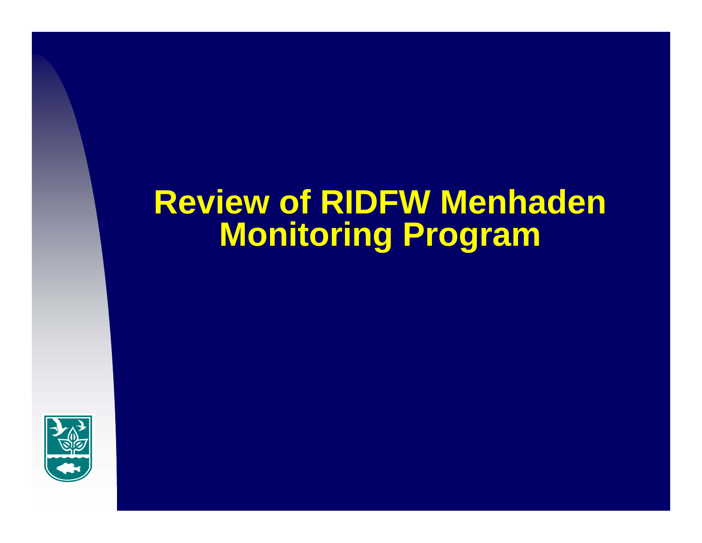# **Review of RIDFW Menhaden Monitoring Program**

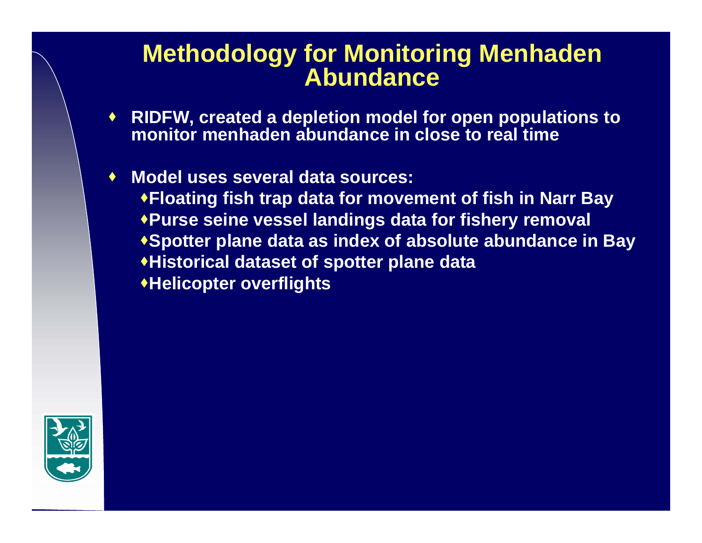#### **Methodology for Monitoring Menhaden Abundance**

- **RIDFW, created a depletion model for open populations to monitor menhaden abundance in close to real time**
- **Model uses several data sources: Floating fish trap data for movement of fish in Narr Bay Purse seine vessel landings data for fishery removal Spotter plane data as index of absolute abundance in Bay Historical dataset of spotter plane data Helicopter overflights**

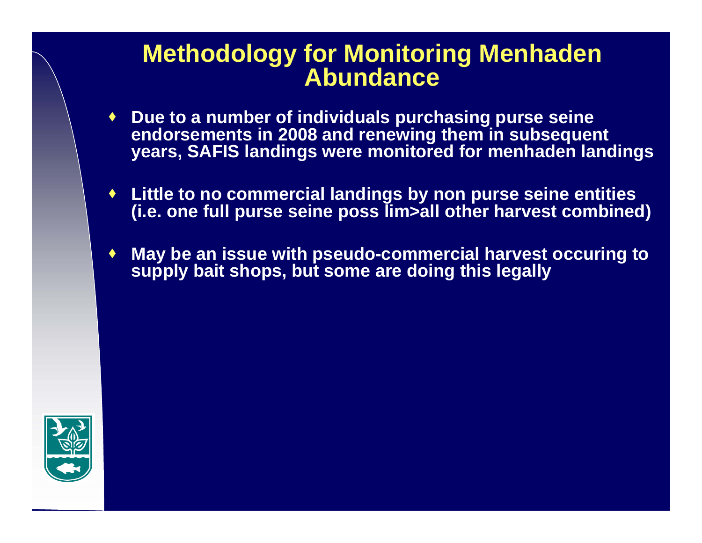#### **Methodology for Monitoring Menhaden Abundance**

- **Due to a number of individuals purchasing purse seine endorsements in 2008 and renewing them in subsequent years, SAFIS landings were monitored for menhaden landings**
- **Little to no commercial landings by non purse seine entities (i.e. one full purse seine poss lim>all other harvest combined)**
- ♦ **May be an issue with pseudo-commercial harvest occuring to supply bait shops, but some are doing this legally**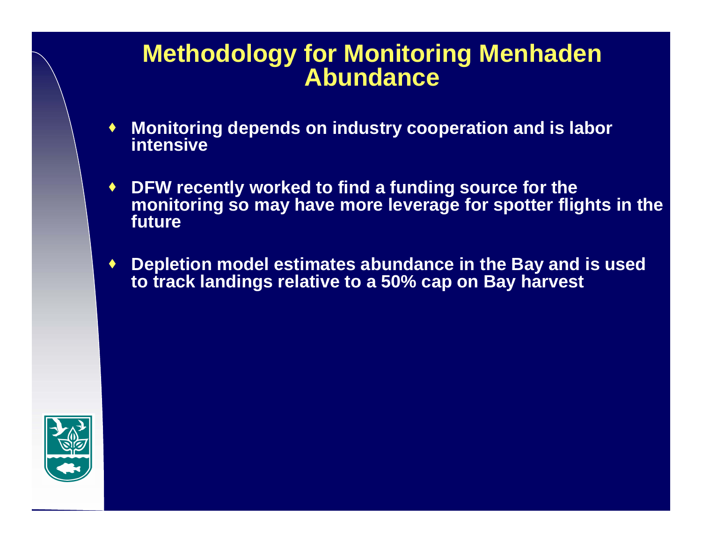#### **Methodology for Monitoring Menhaden Abundance**

- $\bullet$  **Monitoring depends on industry cooperation and is labor intensive**
- ♦ **DFW recently worked to find a funding source for the monitoring so may have more leverage for spotter flights in the future**
- ♦ **Depletion model estimates abundance in the Bay and is used to track landings relative to a 50% cap on Bay harvest**

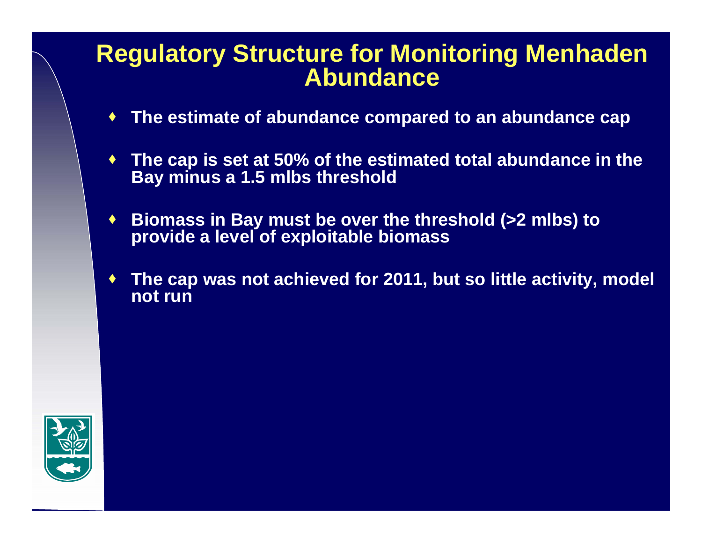#### **Regulatory Structure for Monitoring Menhaden Abundance**

- ♦ **The estimate of abundance compared to an abundance cap**
- ♦ **The cap is set at 50% of the estimated total abundance in the Bay minus a 1.5 mlbs threshold**
- ♦ **Biomass in Bay must be over the threshold (>2 mlbs) to provide a level of exploitable biomass**
- ♦ **The cap was not achieved for 2011, but so little activity, model not run**

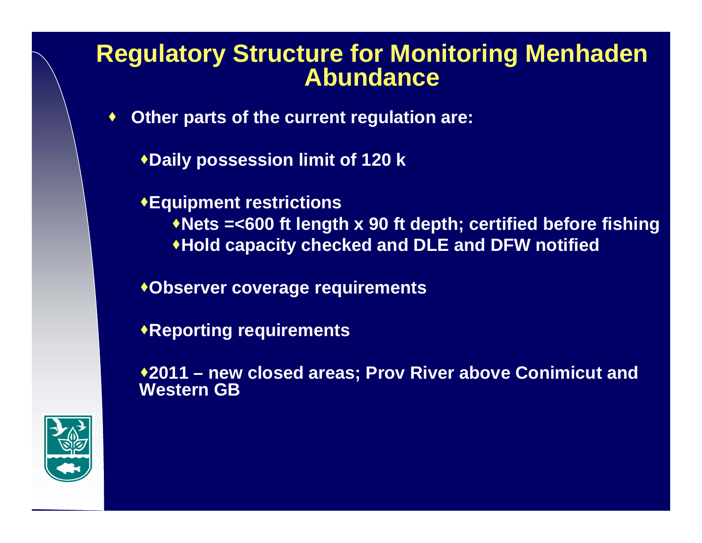#### **Regulatory Structure for Monitoring Menhaden Abundance**

- $\blacklozenge$  **Other parts of the current regulation are:**
	- **Daily possession limit of 120 k**

**Equipment restrictions Nets =<600 ft length x 90 ft depth; certified before fishing Hold capacity checked and DLE and DFW notified**

**Observer coverage requirements**

**Reporting requirements**

**2011 – new closed areas; Prov River above Conimicut and Western GB**

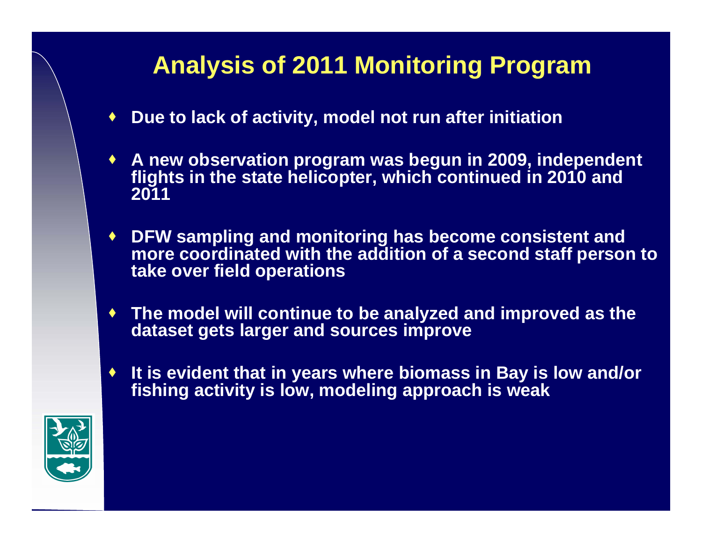### **Analysis of 2011 Monitoring Program**

- ♦ **Due to lack of activity, model not run after initiation**
- **A new observation program was begun in 2009, independent flights in the state helicopter, which continued in 2010 and 2011**
- **DFW sampling and monitoring has become consistent and more coordinated with the addition of a second staff person to take over field operations**
- ♦ **The model will continue to be analyzed and improved as the dataset gets larger and sources improve**
- ♦ **It is evident that in years where biomass in Bay is low and/or fishing activity is low, modeling approach is weak**

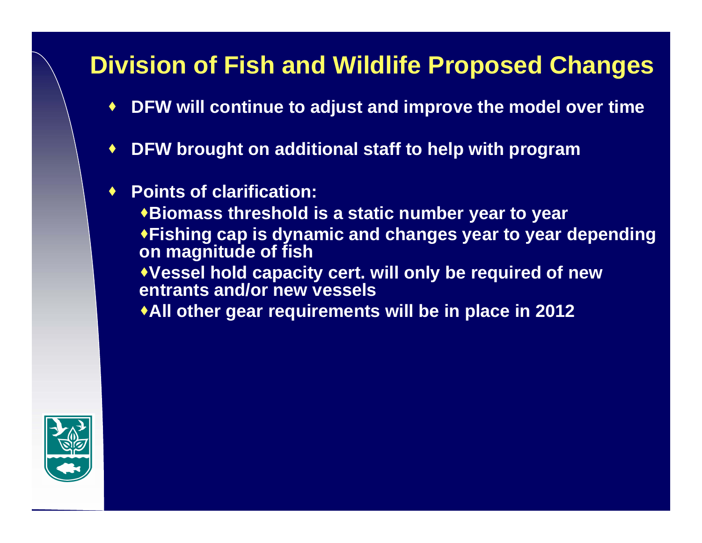### **Division of Fish and Wildlife Proposed Changes**

- ♦ **DFW will continue to adjust and improve the model over time**
- $\blacklozenge$ **DFW brought on additional staff to help with program**
- ♦ **Points of clarification:**

**Biomass threshold is a static number year to year Fishing cap is dynamic and changes year to year depending on magnitude of fish Vessel hold capacity cert. will only be required of new** 

**entrants and/or new vessels**

**All other gear requirements will be in place in 2012**

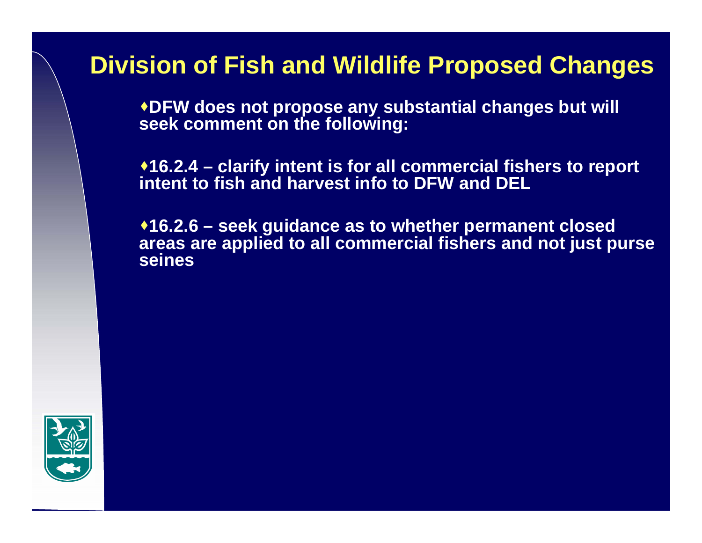### **Division of Fish and Wildlife Proposed Changes**

**DFW does not propose any substantial changes but will seek comment on the following:**

**16.2.4 – clarify intent is for all commercial fishers to report intent to fish and harvest info to DFW and DEL**

**16.2.6 – seek guidance as to whether permanent closed areas are applied to all commercial fishers and not just purse seines**